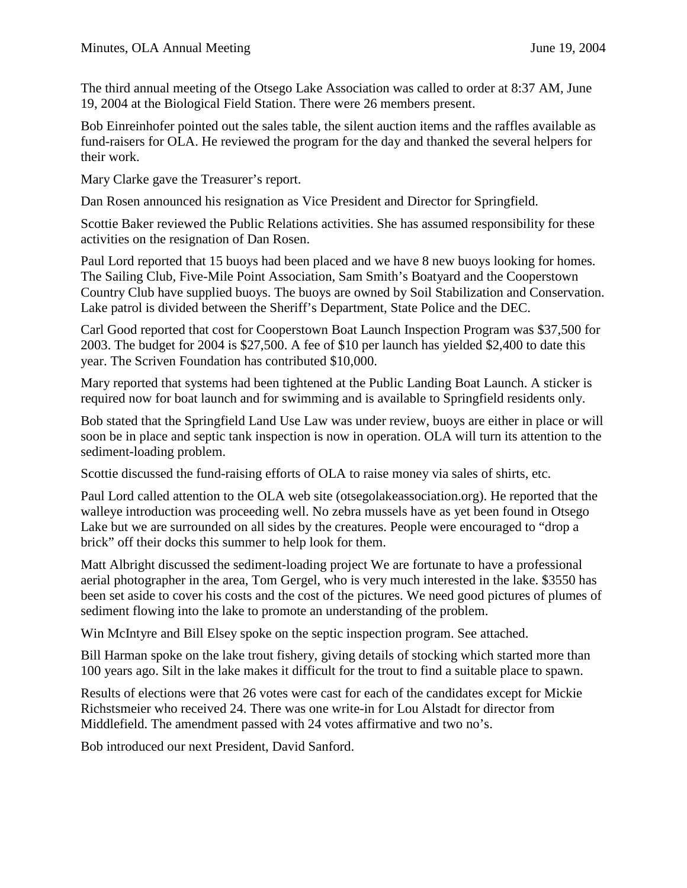The third annual meeting of the Otsego Lake Association was called to order at 8:37 AM, June 19, 2004 at the Biological Field Station. There were 26 members present.

Bob Einreinhofer pointed out the sales table, the silent auction items and the raffles available as fund-raisers for OLA. He reviewed the program for the day and thanked the several helpers for their work.

Mary Clarke gave the Treasurer's report.

Dan Rosen announced his resignation as Vice President and Director for Springfield.

Scottie Baker reviewed the Public Relations activities. She has assumed responsibility for these activities on the resignation of Dan Rosen.

Paul Lord reported that 15 buoys had been placed and we have 8 new buoys looking for homes. The Sailing Club, Five-Mile Point Association, Sam Smith's Boatyard and the Cooperstown Country Club have supplied buoys. The buoys are owned by Soil Stabilization and Conservation. Lake patrol is divided between the Sheriff's Department, State Police and the DEC.

Carl Good reported that cost for Cooperstown Boat Launch Inspection Program was \$37,500 for 2003. The budget for 2004 is \$27,500. A fee of \$10 per launch has yielded \$2,400 to date this year. The Scriven Foundation has contributed \$10,000.

Mary reported that systems had been tightened at the Public Landing Boat Launch. A sticker is required now for boat launch and for swimming and is available to Springfield residents only.

Bob stated that the Springfield Land Use Law was under review, buoys are either in place or will soon be in place and septic tank inspection is now in operation. OLA will turn its attention to the sediment-loading problem.

Scottie discussed the fund-raising efforts of OLA to raise money via sales of shirts, etc.

Paul Lord called attention to the OLA web site (otsegolakeassociation.org). He reported that the walleye introduction was proceeding well. No zebra mussels have as yet been found in Otsego Lake but we are surrounded on all sides by the creatures. People were encouraged to "drop a brick" off their docks this summer to help look for them.

Matt Albright discussed the sediment-loading project We are fortunate to have a professional aerial photographer in the area, Tom Gergel, who is very much interested in the lake. \$3550 has been set aside to cover his costs and the cost of the pictures. We need good pictures of plumes of sediment flowing into the lake to promote an understanding of the problem.

Win McIntyre and Bill Elsey spoke on the septic inspection program. See attached.

Bill Harman spoke on the lake trout fishery, giving details of stocking which started more than 100 years ago. Silt in the lake makes it difficult for the trout to find a suitable place to spawn.

Results of elections were that 26 votes were cast for each of the candidates except for Mickie Richstsmeier who received 24. There was one write-in for Lou Alstadt for director from Middlefield. The amendment passed with 24 votes affirmative and two no's.

Bob introduced our next President, David Sanford.